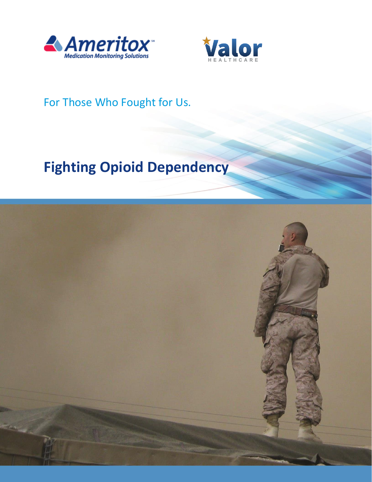



## For Those Who Fought for Us.

# **Fighting Opioid Dependency**

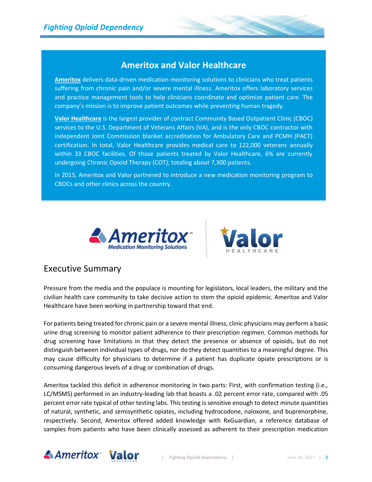### **Ameritox and Valor Healthcare**

**Ameritox** delivers data-driven medication monitoring solutions to clinicians who treat patients suffering from chronic pain and/or severe mental illness. Ameritox offers laboratory services and practice management tools to help clinicians coordinate and optimize patient care. The company's mission is to improve patient outcomes while preventing human tragedy.

**Valor Healthcare** is the largest provider of contract Community Based Outpatient Clinic (CBOC) services to the U.S. Department of Veterans Affairs (VA), and is the only CBOC contractor with independent Joint Commission blanket accreditation for Ambulatory Care and PCMH (PACT) certification. In total, Valor Healthcare provides medical care to 122,000 veterans annually within 33 CBOC facilities. Of those patients treated by Valor Healthcare, 6% are currently undergoing Chronic Opioid Therapy (COT), totaling about 7,300 patients.

In 2015, Ameritox and Valor partnered to introduce a new medication monitoring program to CBOCs and other clinics across the country.





## Executive Summary

Pressure from the media and the populace is mounting for legislators, local leaders, the military and the civilian health care community to take decisive action to stem the opioid epidemic. Ameritox and Valor Healthcare have been working in partnership toward that end.

For patients being treated for chronic pain or a severe mental illness, clinic physicians may perform a basic urine drug screening to monitor patient adherence to their prescription regimen. Common methods for drug screening have limitations in that they detect the presence or absence of opioids, but do not distinguish between individual types of drugs, nor do they detect quantities to a meaningful degree. This may cause difficulty for physicians to determine if a patient has duplicate opiate prescriptions or is consuming dangerous levels of a drug or combination of drugs.

Ameritox tackled this deficit in adherence monitoring in two parts: First, with confirmation testing (i.e., LC/MSMS) performed in an industry-leading lab that boasts a .02 percent error rate, compared with .05 percent error rate typical of other testing labs. This testing is sensitive enough to detect minute quantities of natural, synthetic, and semisynthetic opiates, including hydrocodone, naloxone, and buprenorphine, respectively. Second, Ameritox offered added knowledge with RxGuardian, a reference database of samples from patients who have been clinically assessed as adherent to their prescription medication

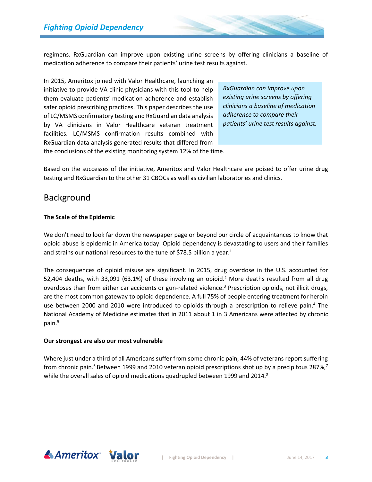regimens. RxGuardian can improve upon existing urine screens by offering clinicians a baseline of medication adherence to compare their patients' urine test results against.

In 2015, Ameritox joined with Valor Healthcare, launching an initiative to provide VA clinic physicians with this tool to help them evaluate patients' medication adherence and establish safer opioid prescribing practices. This paper describes the use of LC/MSMS confirmatory testing and RxGuardian data analysis by VA clinicians in Valor Healthcare veteran treatment facilities. LC/MSMS confirmation results combined with RxGuardian data analysis generated results that differed from

*RxGuardian can improve upon existing urine screens by offering clinicians a baseline of medication adherence to compare their patients' urine test results against.* 

the conclusions of the existing monitoring system 12% of the time.

Based on the successes of the initiative, Ameritox and Valor Healthcare are poised to offer urine drug testing and RxGuardian to the other 31 CBOCs as well as civilian laboratories and clinics.

## Background

#### **The Scale of the Epidemic**

We don't need to look far down the newspaper page or beyond our circle of acquaintances to know that opioid abuse is epidemic in America today. Opioid dependency is devastating to users and their families and strains our national resources to the tune of \$78.5 billion a year.<sup>1</sup>

The consequences of opioid misuse are significant. In 2015, drug overdose in the U.S. accounted for 52,404 deaths, with 33,091 (63.1%) of these involving an opioid.<sup>2</sup> More deaths resulted from all drug overdoses than from either car accidents or gun-related violence.<sup>3</sup> Prescription opioids, not illicit drugs, are the most common gateway to opioid dependence. A full 75% of people entering treatment for heroin use between 2000 and 2010 were introduced to opioids through a prescription to relieve pain. <sup>4</sup> The National Academy of Medicine estimates that in 2011 about 1 in 3 Americans were affected by chronic pain. 5

#### **Our strongest are also our most vulnerable**

Where just under a third of all Americans suffer from some chronic pain, 44% of veterans report suffering from chronic pain.<sup>6</sup> Between 1999 and 2010 veteran opioid prescriptions shot up by a precipitous 287%,<sup>7</sup> while the overall sales of opioid medications quadrupled between 1999 and 2014.<sup>8</sup>

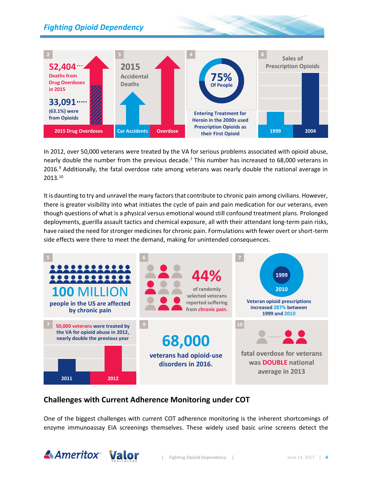## *Fighting Opioid Dependency*



In 2012, over 50,000 veterans were treated by the VA for serious problems associated with opioid abuse, nearly double the number from the previous decade.<sup>7</sup> This number has increased to 68,000 veterans in 2016.<sup>9</sup> Additionally, the fatal overdose rate among veterans was nearly double the national average in 2013.<sup>10</sup>

It is daunting to try and unravel the many factors that contribute to chronic pain among civilians. However, there is greater visibility into what initiates the cycle of pain and pain medication for our veterans, even though questions of what is a physical versus emotional wound still confound treatment plans. Prolonged deployments, guerilla assault tactics and chemical exposure, all with their attendant long-term pain risks, have raised the need for stronger medicines for chronic pain. Formulations with fewer overt or short-term side effects were there to meet the demand, making for unintended consequences.



#### **Challenges with Current Adherence Monitoring under COT**

One of the biggest challenges with current COT adherence monitoring is the inherent shortcomings of enzyme immunoassay EIA screenings themselves. These widely used basic urine screens detect the

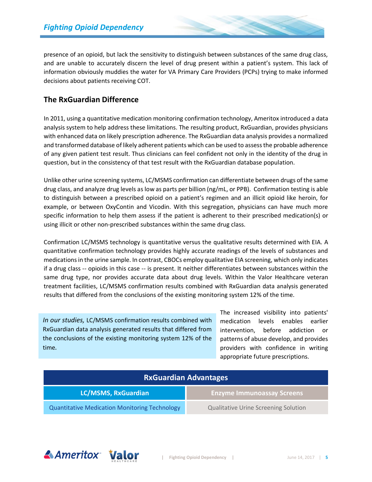presence of an opioid, but lack the sensitivity to distinguish between substances of the same drug class, and are unable to accurately discern the level of drug present within a patient's system. This lack of information obviously muddies the water for VA Primary Care Providers (PCPs) trying to make informed decisions about patients receiving COT.

#### **The RxGuardian Difference**

In 2011, using a quantitative medication monitoring confirmation technology, Ameritox introduced a data analysis system to help address these limitations. The resulting product, RxGuardian, provides physicians with enhanced data on likely prescription adherence. The RxGuardian data analysis provides a normalized and transformed database of likely adherent patients which can be used to assess the probable adherence of any given patient test result. Thus clinicians can feel confident not only in the identity of the drug in question, but in the consistency of that test result with the RxGuardian database population.

Unlike other urine screening systems, LC/MSMS confirmation can differentiate between drugs of the same drug class, and analyze drug levels as low as parts per billion (ng/mL, or PPB). Confirmation testing is able to distinguish between a prescribed opioid on a patient's regimen and an illicit opioid like heroin, for example, or between OxyContin and Vicodin. With this segregation, physicians can have much more specific information to help them assess if the patient is adherent to their prescribed medication(s) or using illicit or other non-prescribed substances within the same drug class.

Confirmation LC/MSMS technology is quantitative versus the qualitative results determined with EIA. A quantitative confirmation technology provides highly accurate readings of the levels of substances and medications in the urine sample. In contrast, CBOCs employ qualitative EIA screening, which only indicates if a drug class -- opioids in this case -- is present. It neither differentiates between substances within the same drug type, nor provides accurate data about drug levels. Within the Valor Healthcare veteran treatment facilities, LC/MSMS confirmation results combined with RxGuardian data analysis generated results that differed from the conclusions of the existing monitoring system 12% of the time.

*In our studies,* LC/MSMS confirmation results combined with RxGuardian data analysis generated results that differed from the conclusions of the existing monitoring system 12% of the time*.*

The increased visibility into patients' medication levels enables earlier intervention, before addiction or patterns of abuse develop, and provides providers with confidence in writing appropriate future prescriptions.

| <b>RxGuardian Advantages</b>                         |                                             |
|------------------------------------------------------|---------------------------------------------|
| LC/MSMS, RxGuardian                                  | <b>Enzyme Immunoassay Screens</b>           |
| <b>Quantitative Medication Monitoring Technology</b> | <b>Qualitative Urine Screening Solution</b> |

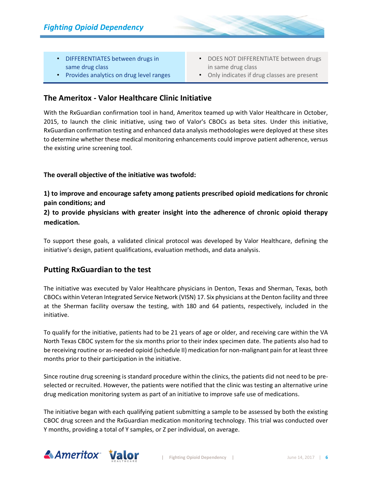- DIFFERENTIATES between drugs in same drug class
- Provides analytics on drug level ranges
- DOES NOT DIFFERENTIATE between drugs in same drug class
- Only indicates if drug classes are present

#### **The Ameritox - Valor Healthcare Clinic Initiative**

With the RxGuardian confirmation tool in hand, Ameritox teamed up with Valor Healthcare in October, 2015, to launch the clinic initiative, using two of Valor's CBOCs as beta sites. Under this initiative, RxGuardian confirmation testing and enhanced data analysis methodologies were deployed at these sites to determine whether these medical monitoring enhancements could improve patient adherence, versus the existing urine screening tool.

#### **The overall objective of the initiative was twofold:**

**1) to improve and encourage safety among patients prescribed opioid medications for chronic pain conditions; and** 

**2) to provide physicians with greater insight into the adherence of chronic opioid therapy medication.** 

To support these goals, a validated clinical protocol was developed by Valor Healthcare, defining the initiative's design, patient qualifications, evaluation methods, and data analysis.

#### **Putting RxGuardian to the test**

The initiative was executed by Valor Healthcare physicians in Denton, Texas and Sherman, Texas, both CBOCs within Veteran Integrated Service Network (VISN) 17. Six physicians at the Denton facility and three at the Sherman facility oversaw the testing, with 180 and 64 patients, respectively, included in the initiative.

To qualify for the initiative, patients had to be 21 years of age or older, and receiving care within the VA North Texas CBOC system for the six months prior to their index specimen date. The patients also had to be receiving routine or as-needed opioid (schedule II) medication for non-malignant pain for at least three months prior to their participation in the initiative.

Since routine drug screening is standard procedure within the clinics, the patients did not need to be preselected or recruited. However, the patients were notified that the clinic was testing an alternative urine drug medication monitoring system as part of an initiative to improve safe use of medications.

The initiative began with each qualifying patient submitting a sample to be assessed by both the existing CBOC drug screen and the RxGuardian medication monitoring technology. This trial was conducted over Y months, providing a total of Y samples, or Z per individual, on average.

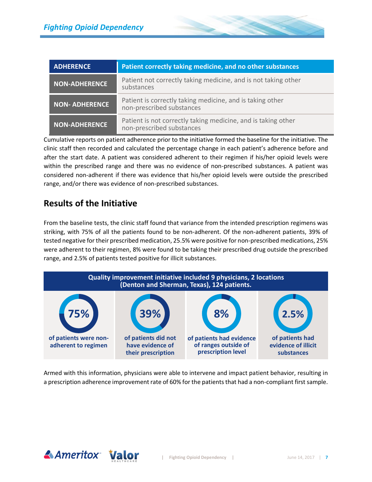| <b>ADHERENCE</b>      | Patient correctly taking medicine, and no other substances                                 |
|-----------------------|--------------------------------------------------------------------------------------------|
| <b>NON-ADHERENCE</b>  | Patient not correctly taking medicine, and is not taking other<br>substances               |
| <b>NON- ADHERENCE</b> | Patient is correctly taking medicine, and is taking other<br>non-prescribed substances     |
| <b>NON-ADHERENCE</b>  | Patient is not correctly taking medicine, and is taking other<br>non-prescribed substances |

Cumulative reports on patient adherence prior to the initiative formed the baseline for the initiative. The clinic staff then recorded and calculated the percentage change in each patient's adherence before and after the start date. A patient was considered adherent to their regimen if his/her opioid levels were within the prescribed range and there was no evidence of non-prescribed substances. A patient was considered non-adherent if there was evidence that his/her opioid levels were outside the prescribed range, and/or there was evidence of non-prescribed substances.

## **Results of the Initiative**

From the baseline tests, the clinic staff found that variance from the intended prescription regimens was striking, with 75% of all the patients found to be non-adherent. Of the non-adherent patients, 39% of tested negative for their prescribed medication, 25.5% were positive for non-prescribed medications, 25% were adherent to their regimen, 8% were found to be taking their prescribed drug outside the prescribed range, and 2.5% of patients tested positive for illicit substances.



Armed with this information, physicians were able to intervene and impact patient behavior, resulting in a prescription adherence improvement rate of 60% for the patients that had a non-compliant first sample.

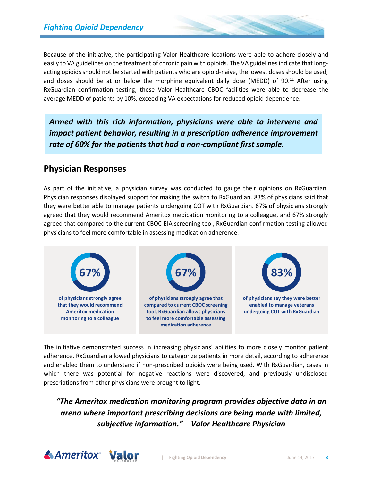Because of the initiative, the participating Valor Healthcare locations were able to adhere closely and easily to VA guidelines on the treatment of chronic pain with opioids. The VA guidelines indicate that longacting opioids should not be started with patients who are opioid-naive, the lowest doses should be used, and doses should be at or below the morphine equivalent daily dose (MEDD) of 90.<sup>11</sup> After using RxGuardian confirmation testing, these Valor Healthcare CBOC facilities were able to decrease the average MEDD of patients by 10%, exceeding VA expectations for reduced opioid dependence.

*Armed with this rich information, physicians were able to intervene and impact patient behavior, resulting in a prescription adherence improvement rate of 60% for the patients that had a non-compliant first sample.*

## **Physician Responses**

As part of the initiative, a physician survey was conducted to gauge their opinions on RxGuardian. Physician responses displayed support for making the switch to RxGuardian. 83% of physicians said that they were better able to manage patients undergoing COT with RxGuardian. 67% of physicians strongly agreed that they would recommend Ameritox medication monitoring to a colleague, and 67% strongly agreed that compared to the current CBOC EIA screening tool, RxGuardian confirmation testing allowed physicians to feel more comfortable in assessing medication adherence.



The initiative demonstrated success in increasing physicians' abilities to more closely monitor patient adherence. RxGuardian allowed physicians to categorize patients in more detail, according to adherence and enabled them to understand if non-prescribed opioids were being used. With RxGuardian, cases in which there was potential for negative reactions were discovered, and previously undisclosed prescriptions from other physicians were brought to light.

## *"The Ameritox medication monitoring program provides objective data in an arena where important prescribing decisions are being made with limited, subjective information." – Valor Healthcare Physician*

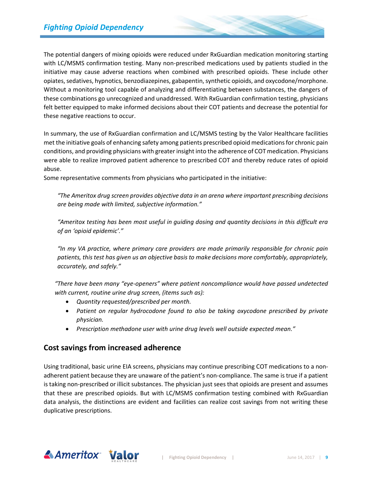The potential dangers of mixing opioids were reduced under RxGuardian medication monitoring starting with LC/MSMS confirmation testing. Many non-prescribed medications used by patients studied in the initiative may cause adverse reactions when combined with prescribed opioids. These include other opiates, sedatives, hypnotics, benzodiazepines, gabapentin, synthetic opioids, and oxycodone/morphone. Without a monitoring tool capable of analyzing and differentiating between substances, the dangers of these combinations go unrecognized and unaddressed. With RxGuardian confirmation testing, physicians felt better equipped to make informed decisions about their COT patients and decrease the potential for these negative reactions to occur.

In summary, the use of RxGuardian confirmation and LC/MSMS testing by the Valor Healthcare facilities met the initiative goals of enhancing safety among patients prescribed opioid medications for chronic pain conditions, and providing physicians with greater insight into the adherence of COT medication. Physicians were able to realize improved patient adherence to prescribed COT and thereby reduce rates of opioid abuse.

Some representative comments from physicians who participated in the initiative:

*"The Ameritox drug screen provides objective data in an arena where important prescribing decisions are being made with limited, subjective information."* 

*"Ameritox testing has been most useful in guiding dosing and quantity decisions in this difficult era of an 'opioid epidemic'."*

*"In my VA practice, where primary care providers are made primarily responsible for chronic pain patients, this test has given us an objective basis to make decisions more comfortably, appropriately, accurately, and safely."*

*"There have been many "eye-openers" where patient noncompliance would have passed undetected with current, routine urine drug screen, (items such as):*

- *Quantity requested/prescribed per month.*
- *Patient on regular hydrocodone found to also be taking oxycodone prescribed by private physician.*
- *Prescription methadone user with urine drug levels well outside expected mean."*

#### **Cost savings from increased adherence**

Using traditional, basic urine EIA screens, physicians may continue prescribing COT medications to a nonadherent patient because they are unaware of the patient's non-compliance. The same is true if a patient is taking non-prescribed or illicit substances. The physician just sees that opioids are present and assumes that these are prescribed opioids. But with LC/MSMS confirmation testing combined with RxGuardian data analysis, the distinctions are evident and facilities can realize cost savings from not writing these duplicative prescriptions.

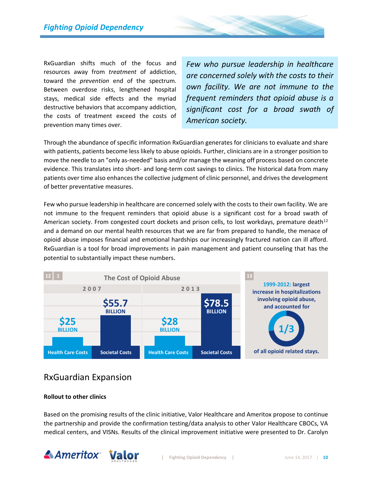RxGuardian shifts much of the focus and resources away from *treatment* of addiction, toward the *prevention* end of the spectrum. Between overdose risks, lengthened hospital stays, medical side effects and the myriad destructive behaviors that accompany addiction, the costs of treatment exceed the costs of prevention many times over.

*Few who pursue leadership in healthcare are concerned solely with the costs to their own facility. We are not immune to the frequent reminders that opioid abuse is a significant cost for a broad swath of American society.*

Through the abundance of specific information RxGuardian generates for clinicians to evaluate and share with patients, patients become less likely to abuse opioids. Further, clinicians are in a stronger position to move the needle to an "only as-needed" basis and/or manage the weaning off process based on concrete evidence. This translates into short- and long-term cost savings to clinics. The historical data from many patients over time also enhances the collective judgment of clinic personnel, and drives the development of better preventative measures.

Few who pursue leadership in healthcare are concerned solely with the costs to their own facility. We are not immune to the frequent reminders that opioid abuse is a significant cost for a broad swath of American society. From congested court dockets and prison cells, to lost workdays, premature death<sup>12</sup> and a demand on our mental health resources that we are far from prepared to handle, the menace of opioid abuse imposes financial and emotional hardships our increasingly fractured nation can ill afford. RxGuardian is a tool for broad improvements in pain management and patient counseling that has the potential to substantially impact these numbers.



## RxGuardian Expansion

#### **Rollout to other clinics**

Based on the promising results of the clinic initiative, Valor Healthcare and Ameritox propose to continue the partnership and provide the confirmation testing/data analysis to other Valor Healthcare CBOCs, VA medical centers, and VISNs. Results of the clinical improvement initiative were presented to Dr. Carolyn

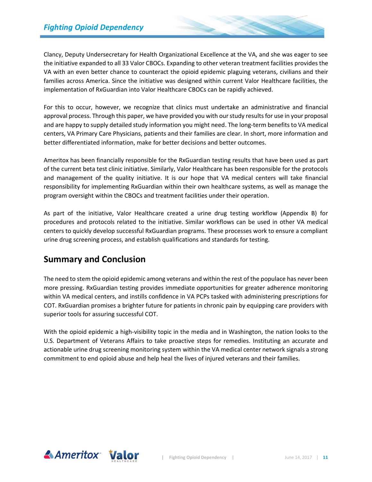Clancy, Deputy Undersecretary for Health Organizational Excellence at the VA, and she was eager to see the initiative expanded to all 33 Valor CBOCs. Expanding to other veteran treatment facilities provides the VA with an even better chance to counteract the opioid epidemic plaguing veterans, civilians and their families across America. Since the initiative was designed within current Valor Healthcare facilities, the implementation of RxGuardian into Valor Healthcare CBOCs can be rapidly achieved.

For this to occur, however, we recognize that clinics must undertake an administrative and financial approval process. Through this paper, we have provided you with our study resultsfor use in your proposal and are happy to supply detailed study information you might need. The long-term benefits to VA medical centers, VA Primary Care Physicians, patients and their families are clear. In short, more information and better differentiated information, make for better decisions and better outcomes.

Ameritox has been financially responsible for the RxGuardian testing results that have been used as part of the current beta test clinic initiative. Similarly, Valor Healthcare has been responsible for the protocols and management of the quality initiative. It is our hope that VA medical centers will take financial responsibility for implementing RxGuardian within their own healthcare systems, as well as manage the program oversight within the CBOCs and treatment facilities under their operation.

As part of the initiative, Valor Healthcare created a urine drug testing workflow (Appendix B) for procedures and protocols related to the initiative. Similar workflows can be used in other VA medical centers to quickly develop successful RxGuardian programs. These processes work to ensure a compliant urine drug screening process, and establish qualifications and standards for testing.

## **Summary and Conclusion**

The need to stem the opioid epidemic among veterans and within the rest of the populace has never been more pressing. RxGuardian testing provides immediate opportunities for greater adherence monitoring within VA medical centers, and instills confidence in VA PCPs tasked with administering prescriptions for COT. RxGuardian promises a brighter future for patients in chronic pain by equipping care providers with superior tools for assuring successful COT.

With the opioid epidemic a high-visibility topic in the media and in Washington, the nation looks to the U.S. Department of Veterans Affairs to take proactive steps for remedies. Instituting an accurate and actionable urine drug screening monitoring system within the VA medical center network signals a strong commitment to end opioid abuse and help heal the lives of injured veterans and their families.

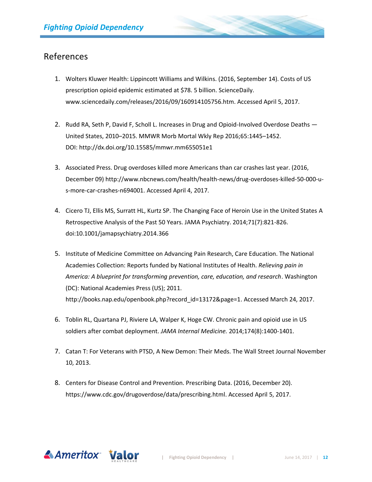## References

- 1. Wolters Kluwer Health: Lippincott Williams and Wilkins. (2016, September 14). Costs of US prescription opioid epidemic estimated at \$78. 5 billion. ScienceDaily. [www.sciencedaily.com/releases/2016/09/160914105756.htm.](http://www.sciencedaily.com/releases/2016/09/160914105756.htm) Accessed April 5, 2017.
- 2. Rudd RA, Seth P, David F, Scholl L. Increases in Drug and Opioid-Involved Overdose Deaths United States, 2010–2015. MMWR Morb Mortal Wkly Rep 2016;65:1445–1452. DOI: <http://dx.doi.org/10.15585/mmwr.mm655051e1>
- 3. Associated Press. Drug overdoses killed more Americans than car crashes last year. (2016, December 09[\) http://www.nbcnews.com/health/health-news/drug-overdoses-killed-50-000-u](http://www.nbcnews.com/health/health-news/drug-overdoses-killed-50-000-u-s-more-car-crashes-n694001)[s-more-car-crashes-n694001.](http://www.nbcnews.com/health/health-news/drug-overdoses-killed-50-000-u-s-more-car-crashes-n694001) Accessed April 4, 2017.
- 4. Cicero TJ, Ellis MS, Surratt HL, Kurtz SP. The Changing Face of Heroin Use in the United States A Retrospective Analysis of the Past 50 Years. JAMA Psychiatry. 2014;71(7):821-826. doi:10.1001/jamapsychiatry.2014.366
- 5. Institute of Medicine Committee on Advancing Pain Research, Care Education. The National Academies Collection: Reports funded by National Institutes of Health. *Relieving pain in America: A blueprint for transforming prevention, care, education, and research*. Washington (DC): National Academies Press (US); 2011. [http://books.nap.edu/openbook.php?record\\_id=13172&page=1.](http://books.nap.edu/openbook.php?record_id=13172&page=1) Accessed March 24, 2017.
- 6. Toblin RL, Quartana PJ, Riviere LA, Walper K, Hoge CW. Chronic pain and opioid use in US soldiers after combat deployment. *JAMA Internal Medicine.* 2014;174(8):1400-1401.
- 7. Catan T: For Veterans with PTSD, A New Demon: Their Meds. The Wall Street Journal November 10, 2013.
- 8. Centers for Disease Control and Prevention. Prescribing Data. (2016, December 20). [https://www.cdc.gov/drugoverdose/data/prescribing.html.](https://www.cdc.gov/drugoverdose/data/prescribing.html) Accessed April 5, 2017.

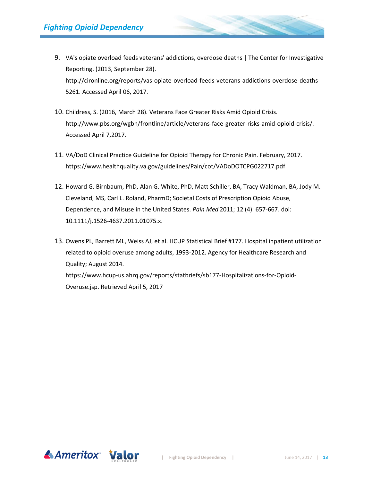- 9. VA's opiate overload feeds veterans' addictions, overdose deaths | The Center for Investigative Reporting. (2013, September 28). [http://cironline.org/reports/vas-opiate-overload-feeds-veterans-addictions-overdose-deaths-](http://cironline.org/reports/vas-opiate-overload-feeds-veterans-addictions-overdose-deaths-5261)[5261.](http://cironline.org/reports/vas-opiate-overload-feeds-veterans-addictions-overdose-deaths-5261) Accessed April 06, 2017.
- 10. Childress, S. (2016, March 28). Veterans Face Greater Risks Amid Opioid Crisis. [http://www.pbs.org/wgbh/frontline/article/veterans-face-greater-risks-amid-opioid-crisis/.](http://www.pbs.org/wgbh/frontline/article/veterans-face-greater-risks-amid-opioid-crisis/) Accessed April 7,2017.
- 11. VA/DoD Clinical Practice Guideline for Opioid Therapy for Chronic Pain. February, 2017. <https://www.healthquality.va.gov/guidelines/Pain/cot/VADoDOTCPG022717.pdf>
- 12. Howard G. Birnbaum, PhD, Alan G. White, PhD, Matt Schiller, BA, Tracy Waldman, BA, Jody M. Cleveland, MS, Carl L. Roland, PharmD; Societal Costs of Prescription Opioid Abuse, Dependence, and Misuse in the United States. *Pain Med* 2011; 12 (4): 657-667. doi: 10.1111/j.1526-4637.2011.01075.x.
- 13. Owens PL, Barrett ML, Weiss AJ, et al. HCUP Statistical Brief #177. Hospital inpatient utilization related to opioid overuse among adults, 1993-2012. Agency for Healthcare Research and Quality; August 2014. [https://www.hcup-us.ahrq.gov/reports/statbriefs/sb177-Hospitalizations-for-Opioid-](https://www.hcup-us.ahrq.gov/reports/statbriefs/sb177-Hospitalizations-for-Opioid-Overuse.jsp)[Overuse.jsp.](https://www.hcup-us.ahrq.gov/reports/statbriefs/sb177-Hospitalizations-for-Opioid-Overuse.jsp) Retrieved April 5, 2017

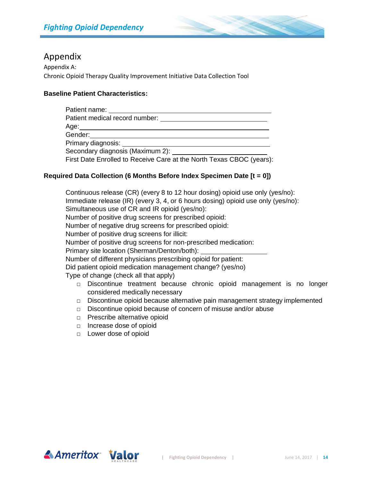

## Appendix

Appendix A: Chronic Opioid Therapy Quality Improvement Initiative Data Collection Tool

#### **Baseline Patient Characteristics:**

| Patient name: _____________                                          |
|----------------------------------------------------------------------|
| Patient medical record number:                                       |
| Age:_______________________________                                  |
| Gender: ____________________                                         |
| Primary diagnosis: <u>compare</u>                                    |
|                                                                      |
| First Date Enrolled to Receive Care at the North Texas CBOC (years): |

#### **Required Data Collection (6 Months Before Index Specimen Date [t = 0])**

Continuous release (CR) (every 8 to 12 hour dosing) opioid use only (yes/no): Immediate release (IR) (every 3, 4, or 6 hours dosing) opioid use only (yes/no): Simultaneous use of CR and IR opioid (yes/no): Number of positive drug screens for prescribed opioid: Number of negative drug screens for prescribed opioid: Number of positive drug screens for illicit: Number of positive drug screens for non-prescribed medication: Primary site location (Sherman/Denton/both): Number of different physicians prescribing opioid for patient: Did patient opioid medication management change? (yes/no) Type of change (check all that apply) □ Discontinue treatment because chronic opioid management is no longer considered medically necessary □ Discontinue opioid because alternative pain management strategy implemented

- □ Discontinue opioid because of concern of misuse and/or abuse
- □ Prescribe alternative opioid
- □ Increase dose of opioid
- □ Lower dose of opioid

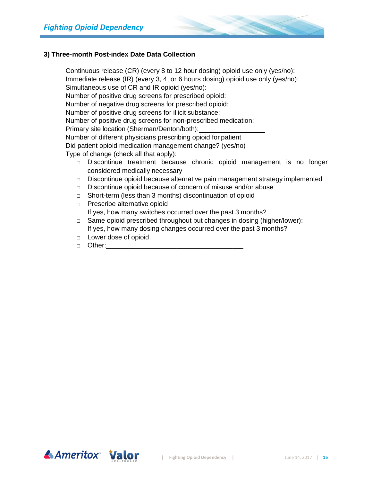

#### **3) Three-month Post-index Date Data Collection**

Continuous release (CR) (every 8 to 12 hour dosing) opioid use only (yes/no): Immediate release (IR) (every 3, 4, or 6 hours dosing) opioid use only (yes/no): Simultaneous use of CR and IR opioid (yes/no): Number of positive drug screens for prescribed opioid: Number of negative drug screens for prescribed opioid: Number of positive drug screens for illicit substance: Number of positive drug screens for non-prescribed medication: Primary site location (Sherman/Denton/both): Number of different physicians prescribing opioid for patient Did patient opioid medication management change? (yes/no) Type of change (check all that apply): □ Discontinue treatment because chronic opioid management is no longer considered medically necessary

- $\Box$  Discontinue opioid because alternative pain management strategy implemented
- □ Discontinue opioid because of concern of misuse and/or abuse
- □ Short-term (less than 3 months) discontinuation of opioid
- □ Prescribe alternative opioid If yes, how many switches occurred over the past 3 months?
- □ Same opioid prescribed throughout but changes in dosing (higher/lower): If yes, how many dosing changes occurred over the past 3 months?
- □ Lower dose of opioid
- $\Box$  Other:

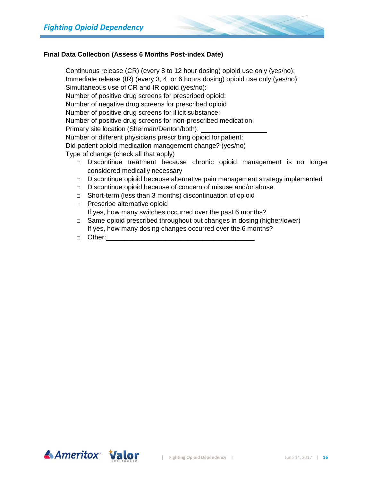

#### **Final Data Collection (Assess 6 Months Post-index Date)**

Continuous release (CR) (every 8 to 12 hour dosing) opioid use only (yes/no): Immediate release (IR) (every 3, 4, or 6 hours dosing) opioid use only (yes/no): Simultaneous use of CR and IR opioid (yes/no): Number of positive drug screens for prescribed opioid: Number of negative drug screens for prescribed opioid: Number of positive drug screens for illicit substance: Number of positive drug screens for non-prescribed medication: Primary site location (Sherman/Denton/both): Number of different physicians prescribing opioid for patient: Did patient opioid medication management change? (yes/no) Type of change (check all that apply) □ Discontinue treatment because chronic opioid management is no longer considered medically necessary

- $\Box$  Discontinue opioid because alternative pain management strategy implemented
- □ Discontinue opioid because of concern of misuse and/or abuse
- □ Short-term (less than 3 months) discontinuation of opioid
- □ Prescribe alternative opioid If yes, how many switches occurred over the past 6 months?
- □ Same opioid prescribed throughout but changes in dosing (higher/lower) If yes, how many dosing changes occurred over the 6 months?
- □ Other: